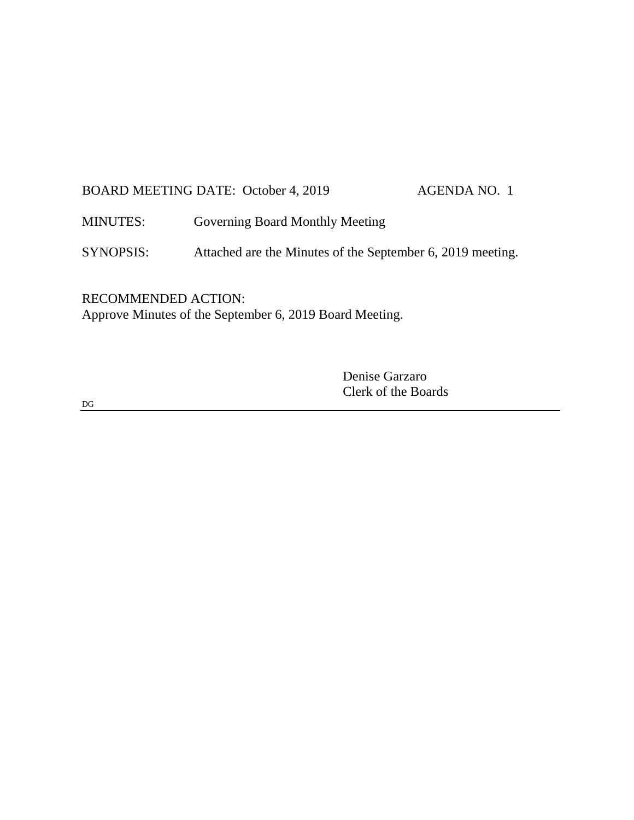# BOARD MEETING DATE: October 4, 2019 AGENDA NO. 1

MINUTES: Governing Board Monthly Meeting

SYNOPSIS: Attached are the Minutes of the September 6, 2019 meeting.

RECOMMENDED ACTION: Approve Minutes of the September 6, 2019 Board Meeting.

> Denise Garzaro Clerk of the Boards

DG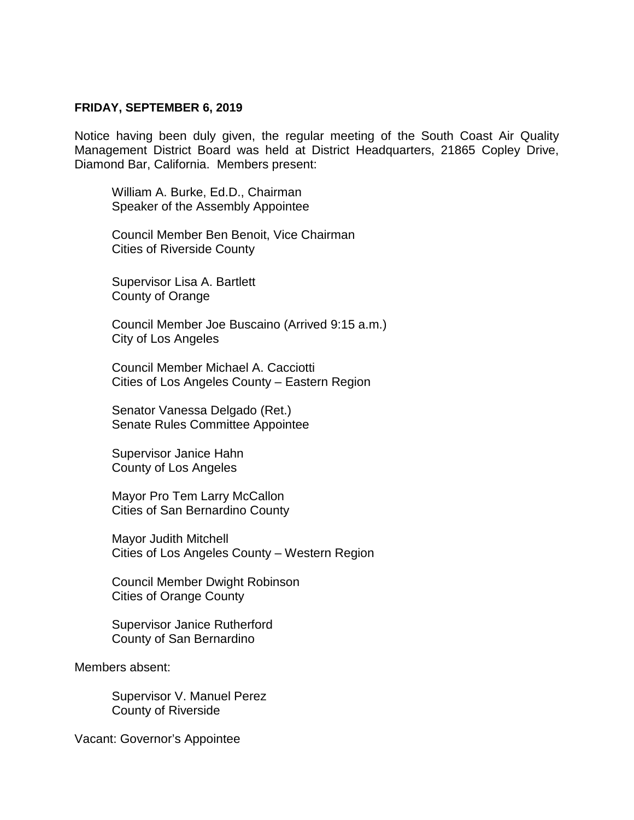#### **FRIDAY, SEPTEMBER 6, 2019**

Notice having been duly given, the regular meeting of the South Coast Air Quality Management District Board was held at District Headquarters, 21865 Copley Drive, Diamond Bar, California. Members present:

William A. Burke, Ed.D., Chairman Speaker of the Assembly Appointee

Council Member Ben Benoit, Vice Chairman Cities of Riverside County

Supervisor Lisa A. Bartlett County of Orange

Council Member Joe Buscaino (Arrived 9:15 a.m.) City of Los Angeles

Council Member Michael A. Cacciotti Cities of Los Angeles County – Eastern Region

Senator Vanessa Delgado (Ret.) Senate Rules Committee Appointee

Supervisor Janice Hahn County of Los Angeles

Mayor Pro Tem Larry McCallon Cities of San Bernardino County

Mayor Judith Mitchell Cities of Los Angeles County – Western Region

Council Member Dwight Robinson Cities of Orange County

Supervisor Janice Rutherford County of San Bernardino

Members absent:

Supervisor V. Manuel Perez County of Riverside

Vacant: Governor's Appointee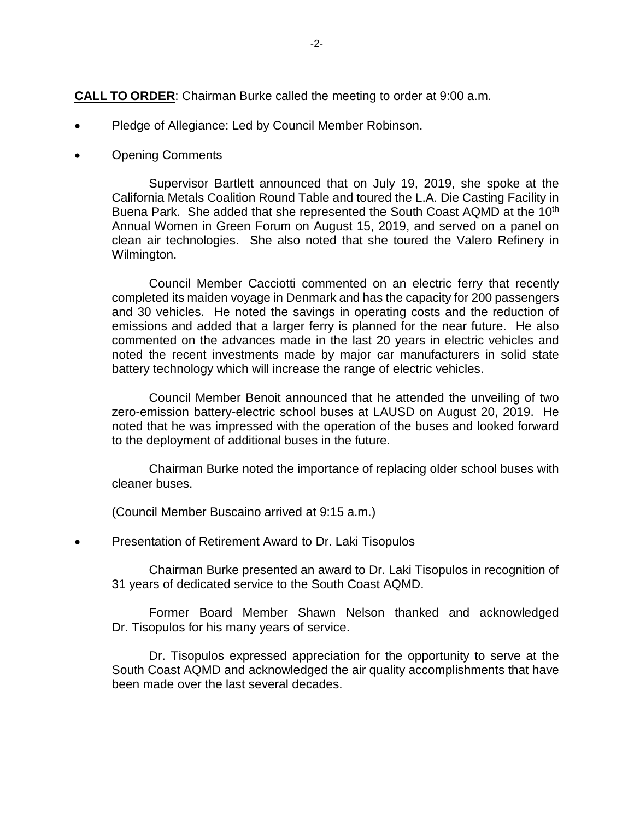**CALL TO ORDER**: Chairman Burke called the meeting to order at 9:00 a.m.

- Pledge of Allegiance: Led by Council Member Robinson.
- Opening Comments

Supervisor Bartlett announced that on July 19, 2019, she spoke at the California Metals Coalition Round Table and toured the L.A. Die Casting Facility in Buena Park. She added that she represented the South Coast AQMD at the 10<sup>th</sup> Annual Women in Green Forum on August 15, 2019, and served on a panel on clean air technologies. She also noted that she toured the Valero Refinery in Wilmington.

Council Member Cacciotti commented on an electric ferry that recently completed its maiden voyage in Denmark and has the capacity for 200 passengers and 30 vehicles. He noted the savings in operating costs and the reduction of emissions and added that a larger ferry is planned for the near future. He also commented on the advances made in the last 20 years in electric vehicles and noted the recent investments made by major car manufacturers in solid state battery technology which will increase the range of electric vehicles.

Council Member Benoit announced that he attended the unveiling of two zero-emission battery-electric school buses at LAUSD on August 20, 2019. He noted that he was impressed with the operation of the buses and looked forward to the deployment of additional buses in the future.

Chairman Burke noted the importance of replacing older school buses with cleaner buses.

(Council Member Buscaino arrived at 9:15 a.m.)

• Presentation of Retirement Award to Dr. Laki Tisopulos

Chairman Burke presented an award to Dr. Laki Tisopulos in recognition of 31 years of dedicated service to the South Coast AQMD.

Former Board Member Shawn Nelson thanked and acknowledged Dr. Tisopulos for his many years of service.

Dr. Tisopulos expressed appreciation for the opportunity to serve at the South Coast AQMD and acknowledged the air quality accomplishments that have been made over the last several decades.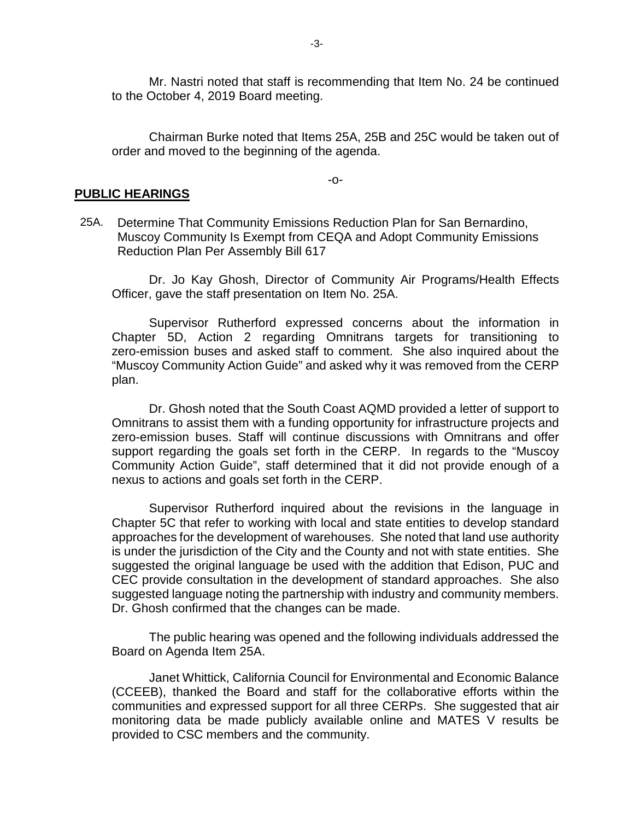Mr. Nastri noted that staff is recommending that Item No. 24 be continued to the October 4, 2019 Board meeting.

Chairman Burke noted that Items 25A, 25B and 25C would be taken out of order and moved to the beginning of the agenda.

-o-

#### **PUBLIC HEARINGS**

25A. Determine That Community Emissions Reduction Plan for San Bernardino, Muscoy Community Is Exempt from CEQA and Adopt Community Emissions Reduction Plan Per Assembly Bill 617

Dr. Jo Kay Ghosh, Director of Community Air Programs/Health Effects Officer, gave the staff presentation on Item No. 25A.

Supervisor Rutherford expressed concerns about the information in Chapter 5D, Action 2 regarding Omnitrans targets for transitioning to zero-emission buses and asked staff to comment. She also inquired about the "Muscoy Community Action Guide" and asked why it was removed from the CERP plan.

Dr. Ghosh noted that the South Coast AQMD provided a letter of support to Omnitrans to assist them with a funding opportunity for infrastructure projects and zero-emission buses. Staff will continue discussions with Omnitrans and offer support regarding the goals set forth in the CERP. In regards to the "Muscoy Community Action Guide", staff determined that it did not provide enough of a nexus to actions and goals set forth in the CERP.

Supervisor Rutherford inquired about the revisions in the language in Chapter 5C that refer to working with local and state entities to develop standard approaches for the development of warehouses. She noted that land use authority is under the jurisdiction of the City and the County and not with state entities. She suggested the original language be used with the addition that Edison, PUC and CEC provide consultation in the development of standard approaches. She also suggested language noting the partnership with industry and community members. Dr. Ghosh confirmed that the changes can be made.

The public hearing was opened and the following individuals addressed the Board on Agenda Item 25A.

Janet Whittick, California Council for Environmental and Economic Balance (CCEEB), thanked the Board and staff for the collaborative efforts within the communities and expressed support for all three CERPs. She suggested that air monitoring data be made publicly available online and MATES V results be provided to CSC members and the community.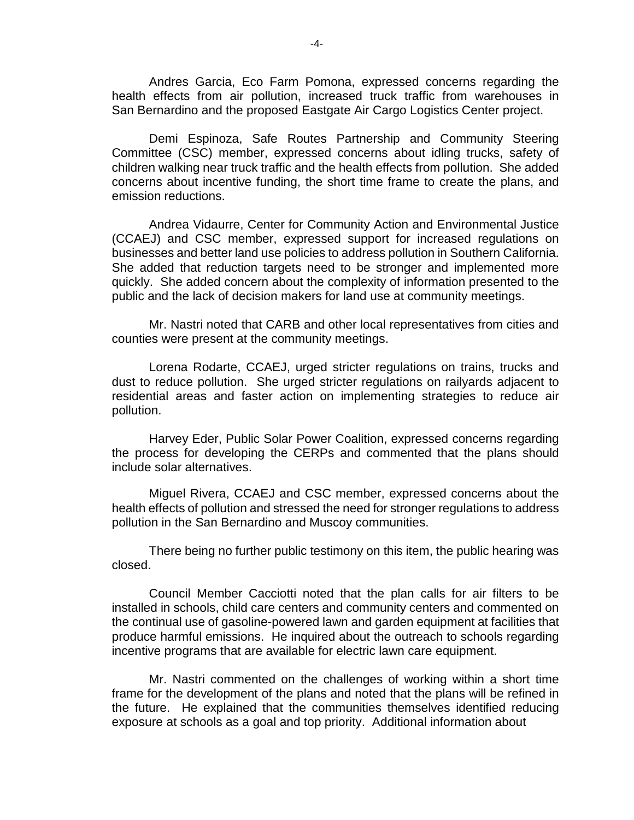Andres Garcia, Eco Farm Pomona, expressed concerns regarding the health effects from air pollution, increased truck traffic from warehouses in San Bernardino and the proposed Eastgate Air Cargo Logistics Center project.

Demi Espinoza, Safe Routes Partnership and Community Steering Committee (CSC) member, expressed concerns about idling trucks, safety of children walking near truck traffic and the health effects from pollution. She added concerns about incentive funding, the short time frame to create the plans, and emission reductions.

Andrea Vidaurre, Center for Community Action and Environmental Justice (CCAEJ) and CSC member, expressed support for increased regulations on businesses and better land use policies to address pollution in Southern California. She added that reduction targets need to be stronger and implemented more quickly. She added concern about the complexity of information presented to the public and the lack of decision makers for land use at community meetings.

Mr. Nastri noted that CARB and other local representatives from cities and counties were present at the community meetings.

Lorena Rodarte, CCAEJ, urged stricter regulations on trains, trucks and dust to reduce pollution. She urged stricter regulations on railyards adjacent to residential areas and faster action on implementing strategies to reduce air pollution.

Harvey Eder, Public Solar Power Coalition, expressed concerns regarding the process for developing the CERPs and commented that the plans should include solar alternatives.

Miguel Rivera, CCAEJ and CSC member, expressed concerns about the health effects of pollution and stressed the need for stronger regulations to address pollution in the San Bernardino and Muscoy communities.

There being no further public testimony on this item, the public hearing was closed.

Council Member Cacciotti noted that the plan calls for air filters to be installed in schools, child care centers and community centers and commented on the continual use of gasoline-powered lawn and garden equipment at facilities that produce harmful emissions. He inquired about the outreach to schools regarding incentive programs that are available for electric lawn care equipment.

Mr. Nastri commented on the challenges of working within a short time frame for the development of the plans and noted that the plans will be refined in the future. He explained that the communities themselves identified reducing exposure at schools as a goal and top priority. Additional information about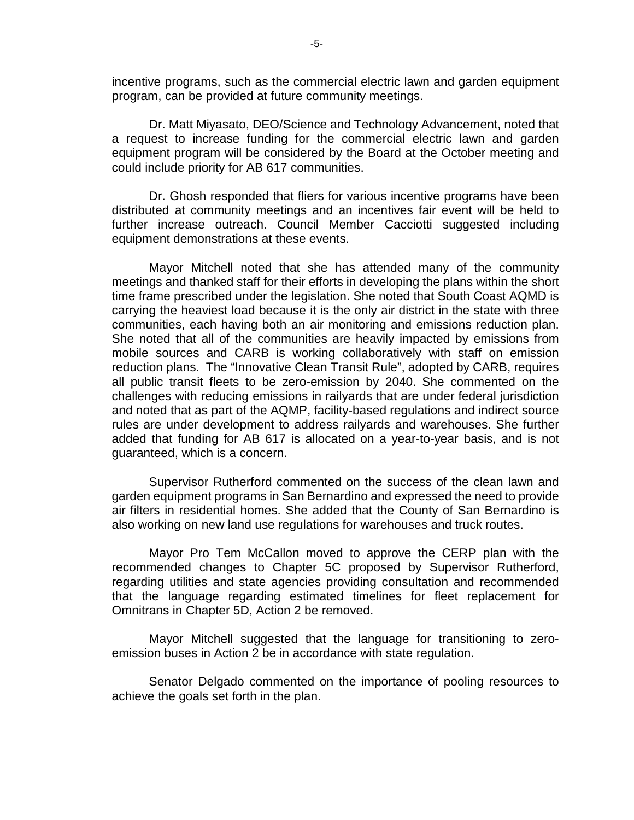incentive programs, such as the commercial electric lawn and garden equipment program, can be provided at future community meetings.

Dr. Matt Miyasato, DEO/Science and Technology Advancement, noted that a request to increase funding for the commercial electric lawn and garden equipment program will be considered by the Board at the October meeting and could include priority for AB 617 communities.

Dr. Ghosh responded that fliers for various incentive programs have been distributed at community meetings and an incentives fair event will be held to further increase outreach. Council Member Cacciotti suggested including equipment demonstrations at these events.

Mayor Mitchell noted that she has attended many of the community meetings and thanked staff for their efforts in developing the plans within the short time frame prescribed under the legislation. She noted that South Coast AQMD is carrying the heaviest load because it is the only air district in the state with three communities, each having both an air monitoring and emissions reduction plan. She noted that all of the communities are heavily impacted by emissions from mobile sources and CARB is working collaboratively with staff on emission reduction plans. The "Innovative Clean Transit Rule", adopted by CARB, requires all public transit fleets to be zero-emission by 2040. She commented on the challenges with reducing emissions in railyards that are under federal jurisdiction and noted that as part of the AQMP, facility-based regulations and indirect source rules are under development to address railyards and warehouses. She further added that funding for AB 617 is allocated on a year-to-year basis, and is not guaranteed, which is a concern.

Supervisor Rutherford commented on the success of the clean lawn and garden equipment programs in San Bernardino and expressed the need to provide air filters in residential homes. She added that the County of San Bernardino is also working on new land use regulations for warehouses and truck routes.

Mayor Pro Tem McCallon moved to approve the CERP plan with the recommended changes to Chapter 5C proposed by Supervisor Rutherford, regarding utilities and state agencies providing consultation and recommended that the language regarding estimated timelines for fleet replacement for Omnitrans in Chapter 5D, Action 2 be removed.

Mayor Mitchell suggested that the language for transitioning to zeroemission buses in Action 2 be in accordance with state regulation.

Senator Delgado commented on the importance of pooling resources to achieve the goals set forth in the plan.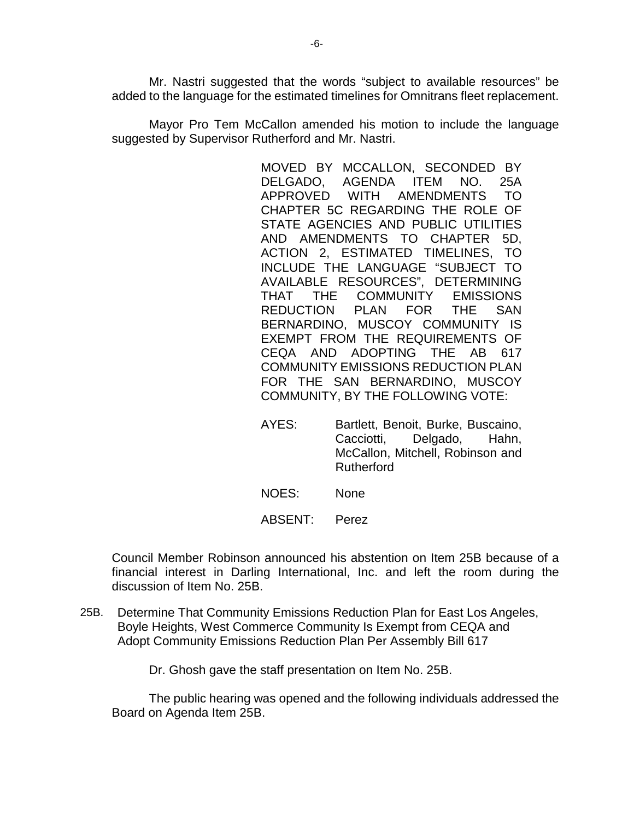Mr. Nastri suggested that the words "subject to available resources" be added to the language for the estimated timelines for Omnitrans fleet replacement.

Mayor Pro Tem McCallon amended his motion to include the language suggested by Supervisor Rutherford and Mr. Nastri.

> MOVED BY MCCALLON, SECONDED BY DELGADO, AGENDA ITEM NO. 25A APPROVED WITH AMENDMENTS TO CHAPTER 5C REGARDING THE ROLE OF STATE AGENCIES AND PUBLIC UTILITIES AND AMENDMENTS TO CHAPTER 5D, ACTION 2, ESTIMATED TIMELINES, TO INCLUDE THE LANGUAGE "SUBJECT TO AVAILABLE RESOURCES", DETERMINING THAT THE COMMUNITY EMISSIONS REDUCTION PLAN FOR THE SAN BERNARDINO, MUSCOY COMMUNITY IS EXEMPT FROM THE REQUIREMENTS OF CEQA AND ADOPTING THE AB 617 COMMUNITY EMISSIONS REDUCTION PLAN FOR THE SAN BERNARDINO, MUSCOY COMMUNITY, BY THE FOLLOWING VOTE:

- AYES: Bartlett, Benoit, Burke, Buscaino, Cacciotti, Delgado, Hahn, McCallon, Mitchell, Robinson and Rutherford
- NOES: None
- ABSENT: Perez

Council Member Robinson announced his abstention on Item 25B because of a financial interest in Darling International, Inc. and left the room during the discussion of Item No. 25B.

25B. Determine That Community Emissions Reduction Plan for East Los Angeles, Boyle Heights, West Commerce Community Is Exempt from CEQA and Adopt Community Emissions Reduction Plan Per Assembly Bill 617

Dr. Ghosh gave the staff presentation on Item No. 25B.

The public hearing was opened and the following individuals addressed the Board on Agenda Item 25B.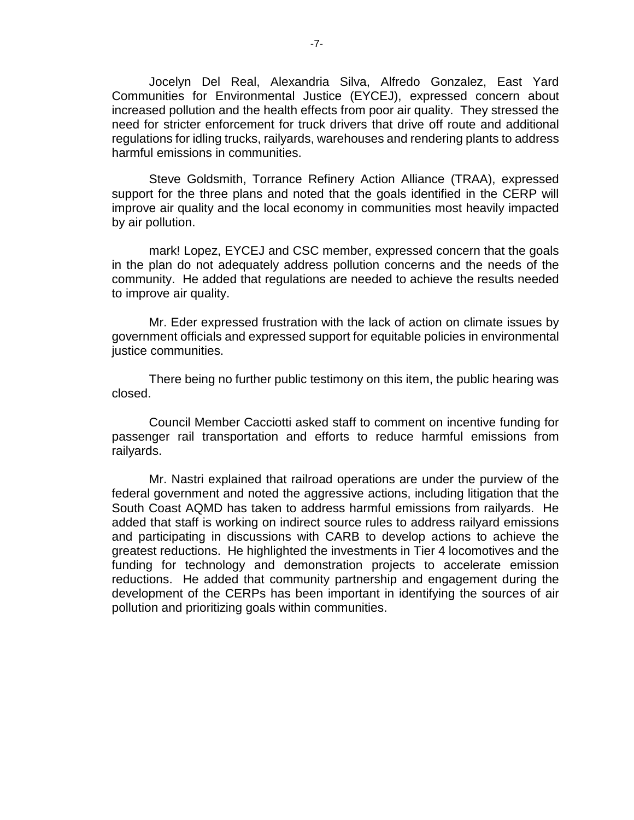Jocelyn Del Real, Alexandria Silva, Alfredo Gonzalez, East Yard Communities for Environmental Justice (EYCEJ), expressed concern about increased pollution and the health effects from poor air quality. They stressed the need for stricter enforcement for truck drivers that drive off route and additional regulations for idling trucks, railyards, warehouses and rendering plants to address harmful emissions in communities.

Steve Goldsmith, Torrance Refinery Action Alliance (TRAA), expressed support for the three plans and noted that the goals identified in the CERP will improve air quality and the local economy in communities most heavily impacted by air pollution.

mark! Lopez, EYCEJ and CSC member, expressed concern that the goals in the plan do not adequately address pollution concerns and the needs of the community. He added that regulations are needed to achieve the results needed to improve air quality.

Mr. Eder expressed frustration with the lack of action on climate issues by government officials and expressed support for equitable policies in environmental justice communities.

There being no further public testimony on this item, the public hearing was closed.

Council Member Cacciotti asked staff to comment on incentive funding for passenger rail transportation and efforts to reduce harmful emissions from railyards.

Mr. Nastri explained that railroad operations are under the purview of the federal government and noted the aggressive actions, including litigation that the South Coast AQMD has taken to address harmful emissions from railyards. He added that staff is working on indirect source rules to address railyard emissions and participating in discussions with CARB to develop actions to achieve the greatest reductions. He highlighted the investments in Tier 4 locomotives and the funding for technology and demonstration projects to accelerate emission reductions. He added that community partnership and engagement during the development of the CERPs has been important in identifying the sources of air pollution and prioritizing goals within communities.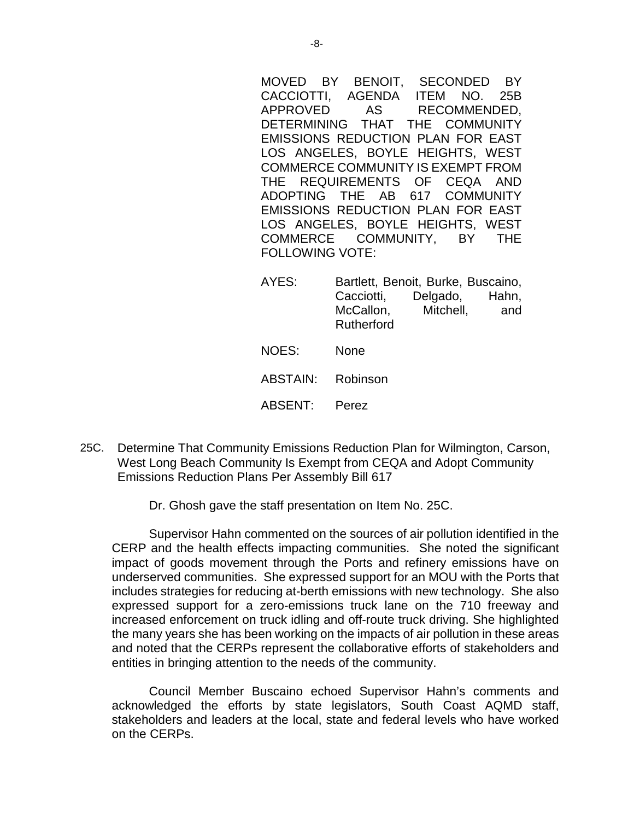MOVED BY BENOIT, SECONDED BY CACCIOTTI, AGENDA ITEM NO. 25B APPROVED AS RECOMMENDED, DETERMINING THAT THE COMMUNITY EMISSIONS REDUCTION PLAN FOR EAST LOS ANGELES, BOYLE HEIGHTS, WEST COMMERCE COMMUNITY IS EXEMPT FROM THE REQUIREMENTS OF CEQA AND ADOPTING THE AB 617 COMMUNITY EMISSIONS REDUCTION PLAN FOR EAST LOS ANGELES, BOYLE HEIGHTS, WEST COMMERCE COMMUNITY, BY THE FOLLOWING VOTE:

- AYES: Bartlett, Benoit, Burke, Buscaino, Cacciotti, Delgado, Hahn, McCallon, Mitchell, and Rutherford
- NOES: None
- ABSTAIN: Robinson
- ABSENT: Perez
- 25C. Determine That Community Emissions Reduction Plan for Wilmington, Carson, West Long Beach Community Is Exempt from CEQA and Adopt Community Emissions Reduction Plans Per Assembly Bill 617
	- Dr. Ghosh gave the staff presentation on Item No. 25C.

Supervisor Hahn commented on the sources of air pollution identified in the CERP and the health effects impacting communities. She noted the significant impact of goods movement through the Ports and refinery emissions have on underserved communities. She expressed support for an MOU with the Ports that includes strategies for reducing at-berth emissions with new technology. She also expressed support for a zero-emissions truck lane on the 710 freeway and increased enforcement on truck idling and off-route truck driving. She highlighted the many years she has been working on the impacts of air pollution in these areas and noted that the CERPs represent the collaborative efforts of stakeholders and entities in bringing attention to the needs of the community.

Council Member Buscaino echoed Supervisor Hahn's comments and acknowledged the efforts by state legislators, South Coast AQMD staff, stakeholders and leaders at the local, state and federal levels who have worked on the CERPs.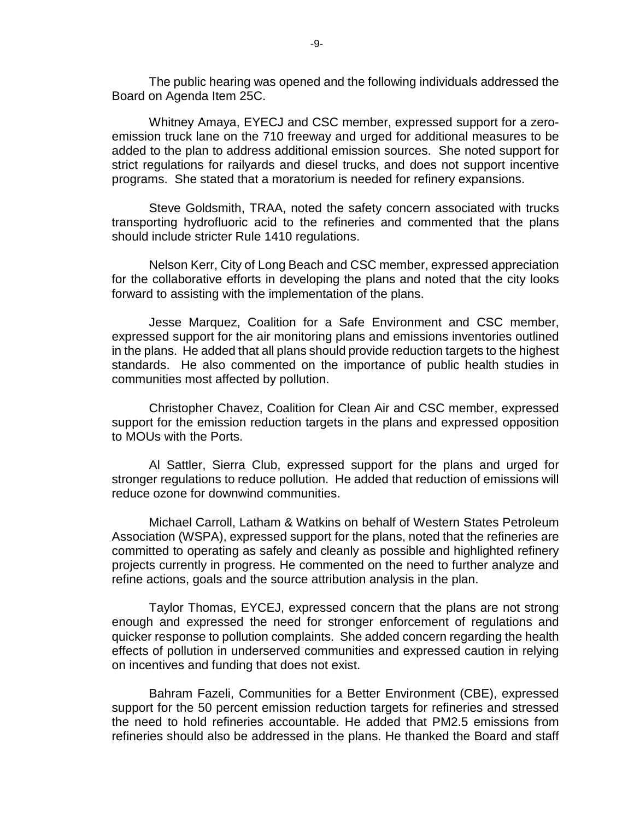The public hearing was opened and the following individuals addressed the Board on Agenda Item 25C.

Whitney Amaya, EYECJ and CSC member, expressed support for a zeroemission truck lane on the 710 freeway and urged for additional measures to be added to the plan to address additional emission sources. She noted support for strict regulations for railyards and diesel trucks, and does not support incentive programs. She stated that a moratorium is needed for refinery expansions.

Steve Goldsmith, TRAA, noted the safety concern associated with trucks transporting hydrofluoric acid to the refineries and commented that the plans should include stricter Rule 1410 regulations.

Nelson Kerr, City of Long Beach and CSC member, expressed appreciation for the collaborative efforts in developing the plans and noted that the city looks forward to assisting with the implementation of the plans.

Jesse Marquez, Coalition for a Safe Environment and CSC member, expressed support for the air monitoring plans and emissions inventories outlined in the plans. He added that all plans should provide reduction targets to the highest standards. He also commented on the importance of public health studies in communities most affected by pollution.

Christopher Chavez, Coalition for Clean Air and CSC member, expressed support for the emission reduction targets in the plans and expressed opposition to MOUs with the Ports.

Al Sattler, Sierra Club, expressed support for the plans and urged for stronger regulations to reduce pollution. He added that reduction of emissions will reduce ozone for downwind communities.

Michael Carroll, Latham & Watkins on behalf of Western States Petroleum Association (WSPA), expressed support for the plans, noted that the refineries are committed to operating as safely and cleanly as possible and highlighted refinery projects currently in progress. He commented on the need to further analyze and refine actions, goals and the source attribution analysis in the plan.

Taylor Thomas, EYCEJ, expressed concern that the plans are not strong enough and expressed the need for stronger enforcement of regulations and quicker response to pollution complaints. She added concern regarding the health effects of pollution in underserved communities and expressed caution in relying on incentives and funding that does not exist.

Bahram Fazeli, Communities for a Better Environment (CBE), expressed support for the 50 percent emission reduction targets for refineries and stressed the need to hold refineries accountable. He added that PM2.5 emissions from refineries should also be addressed in the plans. He thanked the Board and staff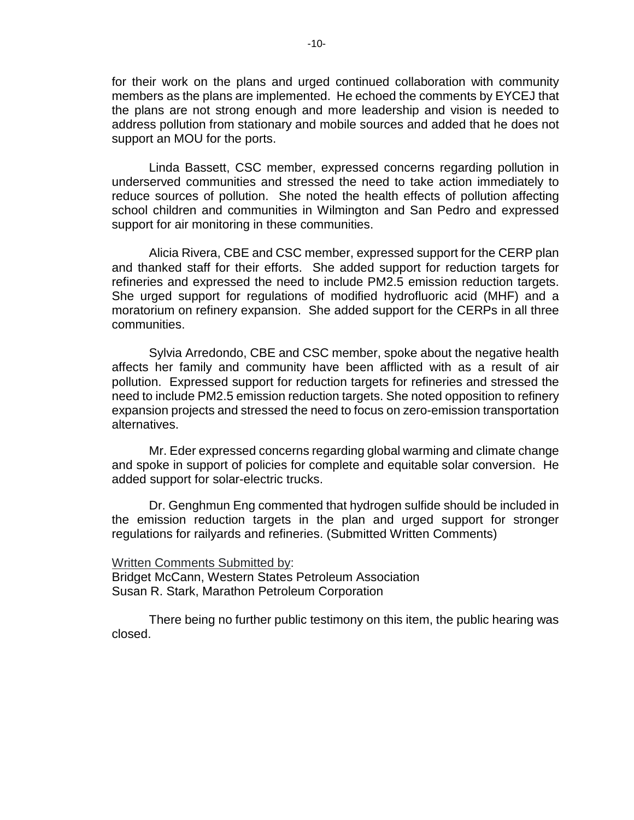for their work on the plans and urged continued collaboration with community members as the plans are implemented. He echoed the comments by EYCEJ that the plans are not strong enough and more leadership and vision is needed to address pollution from stationary and mobile sources and added that he does not support an MOU for the ports.

Linda Bassett, CSC member, expressed concerns regarding pollution in underserved communities and stressed the need to take action immediately to reduce sources of pollution. She noted the health effects of pollution affecting school children and communities in Wilmington and San Pedro and expressed support for air monitoring in these communities.

Alicia Rivera, CBE and CSC member, expressed support for the CERP plan and thanked staff for their efforts. She added support for reduction targets for refineries and expressed the need to include PM2.5 emission reduction targets. She urged support for regulations of modified hydrofluoric acid (MHF) and a moratorium on refinery expansion. She added support for the CERPs in all three communities.

Sylvia Arredondo, CBE and CSC member, spoke about the negative health affects her family and community have been afflicted with as a result of air pollution. Expressed support for reduction targets for refineries and stressed the need to include PM2.5 emission reduction targets. She noted opposition to refinery expansion projects and stressed the need to focus on zero-emission transportation alternatives.

Mr. Eder expressed concerns regarding global warming and climate change and spoke in support of policies for complete and equitable solar conversion. He added support for solar-electric trucks.

Dr. Genghmun Eng commented that hydrogen sulfide should be included in the emission reduction targets in the plan and urged support for stronger regulations for railyards and refineries. (Submitted Written Comments)

Written Comments Submitted by:

Bridget McCann, Western States Petroleum Association Susan R. Stark, Marathon Petroleum Corporation

There being no further public testimony on this item, the public hearing was closed.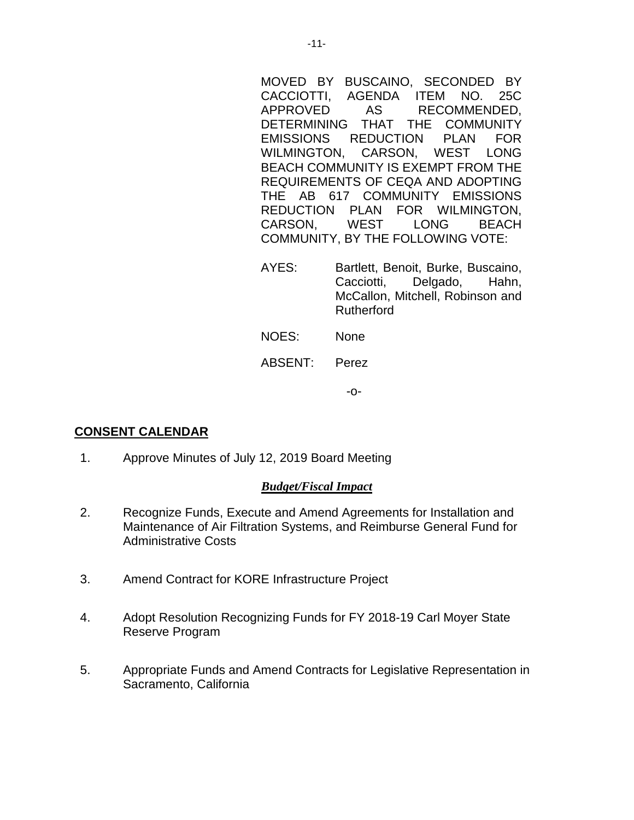MOVED BY BUSCAINO, SECONDED BY CACCIOTTI, AGENDA ITEM NO. 25C APPROVED AS RECOMMENDED, DETERMINING THAT THE COMMUNITY EMISSIONS REDUCTION PLAN FOR WILMINGTON, CARSON, WEST LONG BEACH COMMUNITY IS EXEMPT FROM THE REQUIREMENTS OF CEQA AND ADOPTING THE AB 617 COMMUNITY EMISSIONS REDUCTION PLAN FOR WILMINGTON,<br>CARSON. WEST LONG BEACH CARSON, WEST LONG BEACH COMMUNITY, BY THE FOLLOWING VOTE:

- AYES: Bartlett, Benoit, Burke, Buscaino, Cacciotti, Delgado, Hahn, McCallon, Mitchell, Robinson and Rutherford
- NOES: None

# ABSENT: Perez

-o-

# **CONSENT CALENDAR**

1. Approve Minutes of July 12, 2019 Board Meeting

## *Budget/Fiscal Impact*

- 2. Recognize Funds, Execute and Amend Agreements for Installation and Maintenance of Air Filtration Systems, and Reimburse General Fund for Administrative Costs
- 3. Amend Contract for KORE Infrastructure Project
- 4. Adopt Resolution Recognizing Funds for FY 2018-19 Carl Moyer State Reserve Program
- 5. Appropriate Funds and Amend Contracts for Legislative Representation in Sacramento, California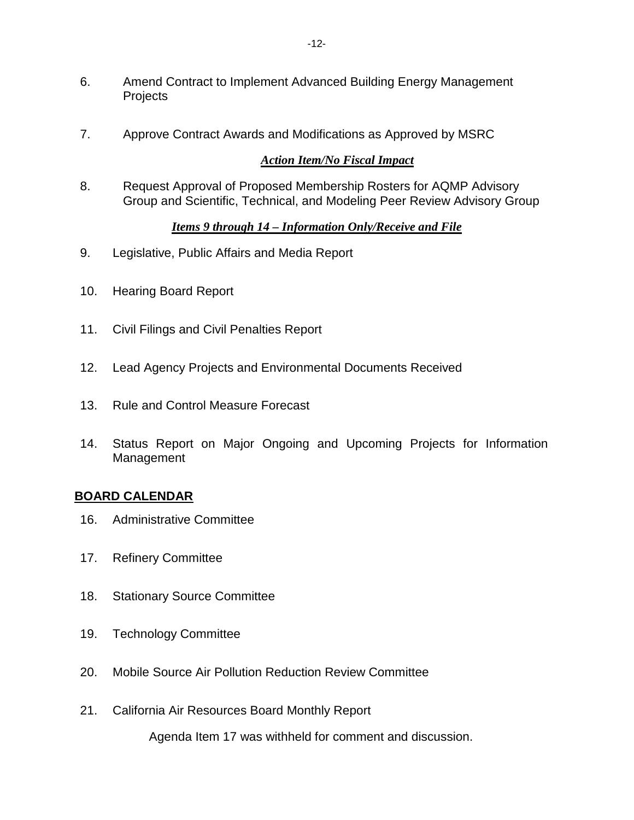- 6. Amend Contract to Implement Advanced Building Energy Management **Projects**
- 7. Approve Contract Awards and Modifications as Approved by MSRC

## *Action Item/No Fiscal Impact*

8. Request Approval of Proposed Membership Rosters for AQMP Advisory Group and Scientific, Technical, and Modeling Peer Review Advisory Group

## *Items 9 through 14 – Information Only/Receive and File*

- 9. Legislative, Public Affairs and Media Report
- 10. Hearing Board Report
- 11. Civil Filings and Civil Penalties Report
- 12. Lead Agency Projects and Environmental Documents Received
- 13. Rule and Control Measure Forecast
- 14. Status Report on Major Ongoing and Upcoming Projects for Information Management

# **BOARD CALENDAR**

- 16. Administrative Committee
- 17. Refinery Committee
- 18. Stationary Source Committee
- 19. Technology Committee
- 20. Mobile Source Air Pollution Reduction Review Committee
- 21. California Air Resources Board Monthly Report

Agenda Item 17 was withheld for comment and discussion.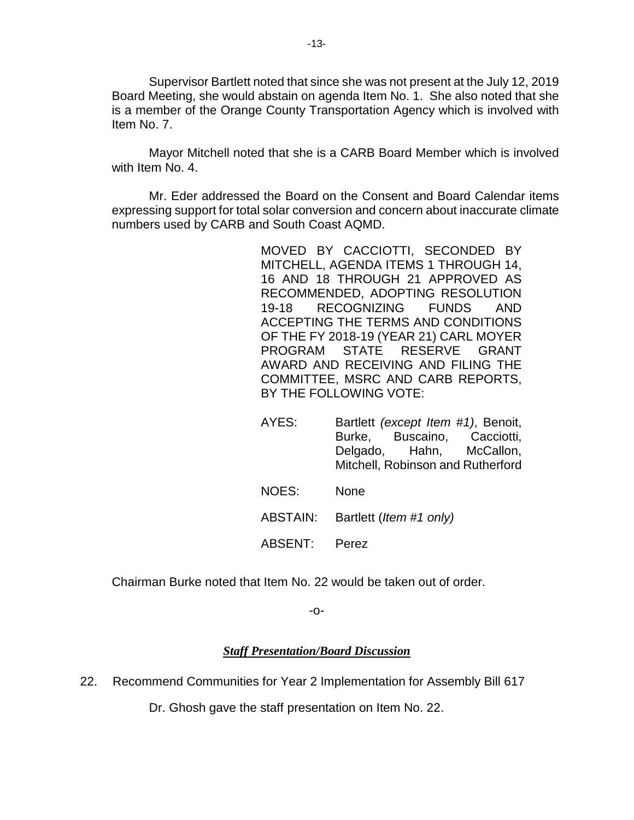Supervisor Bartlett noted that since she was not present at the July 12, 2019 Board Meeting, she would abstain on agenda Item No. 1. She also noted that she is a member of the Orange County Transportation Agency which is involved with Item No. 7.

Mayor Mitchell noted that she is a CARB Board Member which is involved with Item No. 4.

Mr. Eder addressed the Board on the Consent and Board Calendar items expressing support for total solar conversion and concern about inaccurate climate numbers used by CARB and South Coast AQMD.

> MOVED BY CACCIOTTI, SECONDED BY MITCHELL, AGENDA ITEMS 1 THROUGH 14, 16 AND 18 THROUGH 21 APPROVED AS RECOMMENDED, ADOPTING RESOLUTION 19-18 RECOGNIZING FUNDS AND ACCEPTING THE TERMS AND CONDITIONS OF THE FY 2018-19 (YEAR 21) CARL MOYER PROGRAM STATE RESERVE GRANT AWARD AND RECEIVING AND FILING THE COMMITTEE, MSRC AND CARB REPORTS, BY THE FOLLOWING VOTE:

- AYES: Bartlett *(except Item #1)*, Benoit, Burke, Buscaino, Cacciotti, Delgado, Hahn, McCallon, Mitchell, Robinson and Rutherford
- NOES: None
- ABSTAIN: Bartlett (*Item #1 only)*
- ABSENT: Perez

Chairman Burke noted that Item No. 22 would be taken out of order.

-o-

# *Staff Presentation/Board Discussion*

22. Recommend Communities for Year 2 Implementation for Assembly Bill 617

Dr. Ghosh gave the staff presentation on Item No. 22.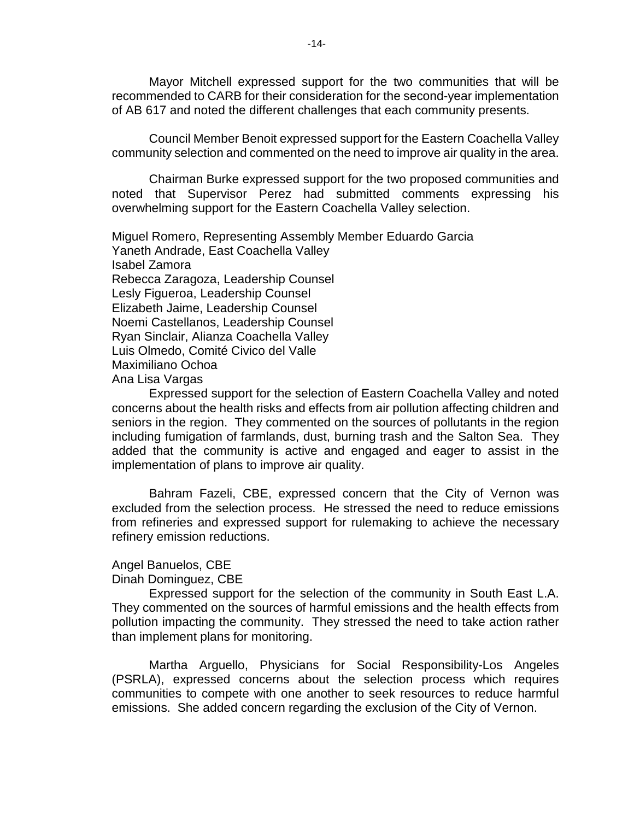Mayor Mitchell expressed support for the two communities that will be recommended to CARB for their consideration for the second-year implementation of AB 617 and noted the different challenges that each community presents.

Council Member Benoit expressed support for the Eastern Coachella Valley community selection and commented on the need to improve air quality in the area.

Chairman Burke expressed support for the two proposed communities and noted that Supervisor Perez had submitted comments expressing his overwhelming support for the Eastern Coachella Valley selection.

Miguel Romero, Representing Assembly Member Eduardo Garcia Yaneth Andrade, East Coachella Valley Isabel Zamora Rebecca Zaragoza, Leadership Counsel Lesly Figueroa, Leadership Counsel Elizabeth Jaime, Leadership Counsel Noemi Castellanos, Leadership Counsel Ryan Sinclair, Alianza Coachella Valley Luis Olmedo, Comité Civico del Valle Maximiliano Ochoa Ana Lisa Vargas

Expressed support for the selection of Eastern Coachella Valley and noted concerns about the health risks and effects from air pollution affecting children and seniors in the region. They commented on the sources of pollutants in the region including fumigation of farmlands, dust, burning trash and the Salton Sea. They added that the community is active and engaged and eager to assist in the implementation of plans to improve air quality.

Bahram Fazeli, CBE, expressed concern that the City of Vernon was excluded from the selection process. He stressed the need to reduce emissions from refineries and expressed support for rulemaking to achieve the necessary refinery emission reductions.

#### Angel Banuelos, CBE

Dinah Dominguez, CBE

Expressed support for the selection of the community in South East L.A. They commented on the sources of harmful emissions and the health effects from pollution impacting the community. They stressed the need to take action rather than implement plans for monitoring.

Martha Arguello, Physicians for Social Responsibility-Los Angeles (PSRLA), expressed concerns about the selection process which requires communities to compete with one another to seek resources to reduce harmful emissions. She added concern regarding the exclusion of the City of Vernon.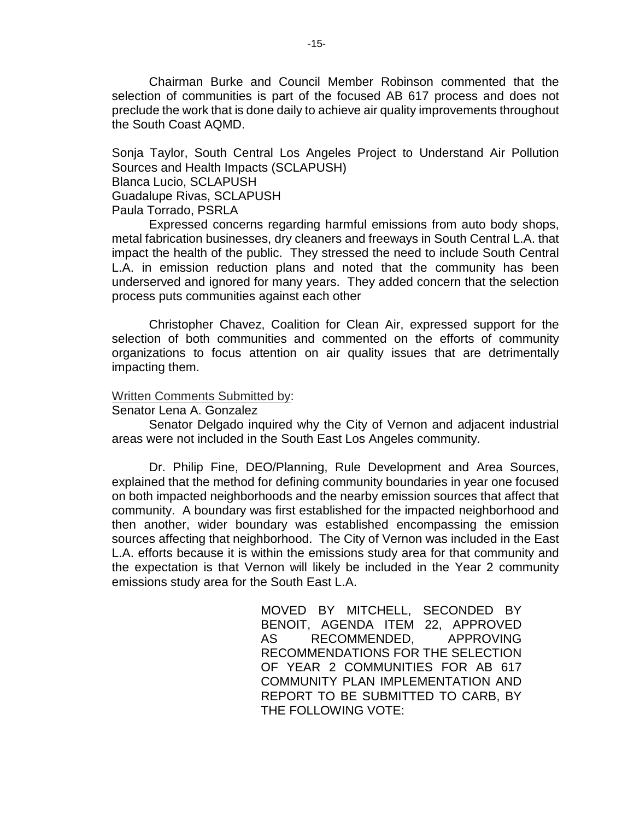Chairman Burke and Council Member Robinson commented that the selection of communities is part of the focused AB 617 process and does not preclude the work that is done daily to achieve air quality improvements throughout the South Coast AQMD.

Sonja Taylor, South Central Los Angeles Project to Understand Air Pollution Sources and Health Impacts (SCLAPUSH)

Blanca Lucio, SCLAPUSH

Guadalupe Rivas, SCLAPUSH

Paula Torrado, PSRLA

Expressed concerns regarding harmful emissions from auto body shops, metal fabrication businesses, dry cleaners and freeways in South Central L.A. that impact the health of the public. They stressed the need to include South Central L.A. in emission reduction plans and noted that the community has been underserved and ignored for many years. They added concern that the selection process puts communities against each other

Christopher Chavez, Coalition for Clean Air, expressed support for the selection of both communities and commented on the efforts of community organizations to focus attention on air quality issues that are detrimentally impacting them.

## Written Comments Submitted by:

Senator Lena A. Gonzalez

Senator Delgado inquired why the City of Vernon and adjacent industrial areas were not included in the South East Los Angeles community.

Dr. Philip Fine, DEO/Planning, Rule Development and Area Sources, explained that the method for defining community boundaries in year one focused on both impacted neighborhoods and the nearby emission sources that affect that community. A boundary was first established for the impacted neighborhood and then another, wider boundary was established encompassing the emission sources affecting that neighborhood. The City of Vernon was included in the East L.A. efforts because it is within the emissions study area for that community and the expectation is that Vernon will likely be included in the Year 2 community emissions study area for the South East L.A.

> MOVED BY MITCHELL, SECONDED BY BENOIT, AGENDA ITEM 22, APPROVED AS RECOMMENDED, APPROVING RECOMMENDATIONS FOR THE SELECTION OF YEAR 2 COMMUNITIES FOR AB 617 COMMUNITY PLAN IMPLEMENTATION AND REPORT TO BE SUBMITTED TO CARB, BY THE FOLLOWING VOTE: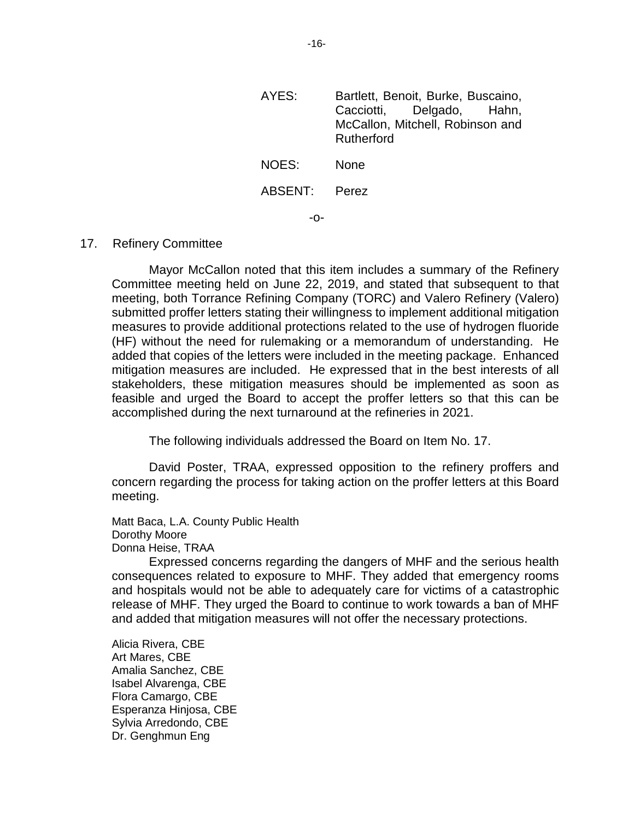| AYES:   | Bartlett, Benoit, Burke, Buscaino,<br>Cacciotti, Delgado, Hahn,<br>McCallon, Mitchell, Robinson and<br>Rutherford |
|---------|-------------------------------------------------------------------------------------------------------------------|
| NOES:   | None                                                                                                              |
| ABSENT: | Perez                                                                                                             |
|         |                                                                                                                   |

#### 17. Refinery Committee

Mayor McCallon noted that this item includes a summary of the Refinery Committee meeting held on June 22, 2019, and stated that subsequent to that meeting, both Torrance Refining Company (TORC) and Valero Refinery (Valero) submitted proffer letters stating their willingness to implement additional mitigation measures to provide additional protections related to the use of hydrogen fluoride (HF) without the need for rulemaking or a memorandum of understanding. He added that copies of the letters were included in the meeting package. Enhanced mitigation measures are included. He expressed that in the best interests of all stakeholders, these mitigation measures should be implemented as soon as feasible and urged the Board to accept the proffer letters so that this can be accomplished during the next turnaround at the refineries in 2021.

The following individuals addressed the Board on Item No. 17.

David Poster, TRAA, expressed opposition to the refinery proffers and concern regarding the process for taking action on the proffer letters at this Board meeting.

Matt Baca, L.A. County Public Health Dorothy Moore Donna Heise, TRAA

Expressed concerns regarding the dangers of MHF and the serious health consequences related to exposure to MHF. They added that emergency rooms and hospitals would not be able to adequately care for victims of a catastrophic release of MHF. They urged the Board to continue to work towards a ban of MHF and added that mitigation measures will not offer the necessary protections.

Alicia Rivera, CBE Art Mares, CBE Amalia Sanchez, CBE Isabel Alvarenga, CBE Flora Camargo, CBE Esperanza Hinjosa, CBE Sylvia Arredondo, CBE Dr. Genghmun Eng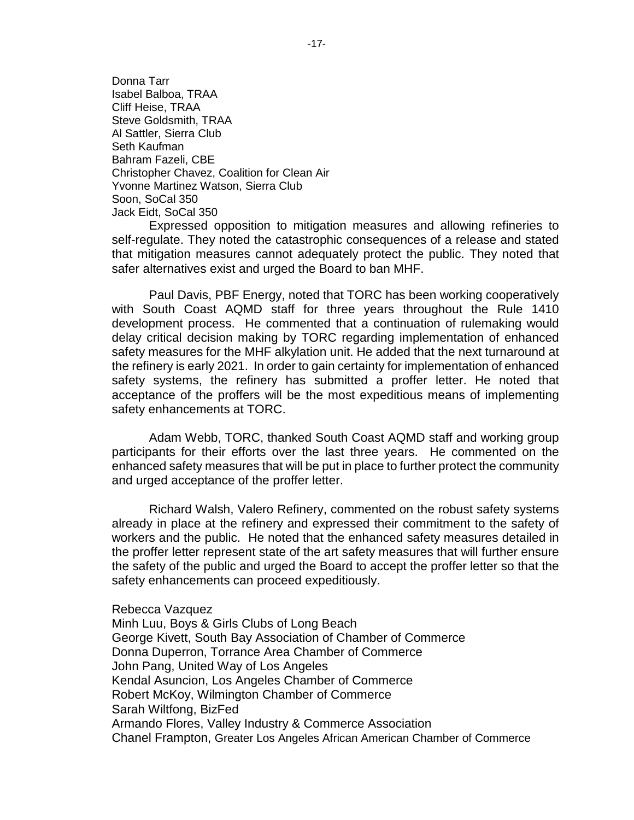Donna Tarr Isabel Balboa, TRAA Cliff Heise, TRAA Steve Goldsmith, TRAA Al Sattler, Sierra Club Seth Kaufman Bahram Fazeli, CBE Christopher Chavez, Coalition for Clean Air Yvonne Martinez Watson, Sierra Club Soon, SoCal 350 Jack Eidt, SoCal 350

Expressed opposition to mitigation measures and allowing refineries to self-regulate. They noted the catastrophic consequences of a release and stated that mitigation measures cannot adequately protect the public. They noted that safer alternatives exist and urged the Board to ban MHF.

Paul Davis, PBF Energy, noted that TORC has been working cooperatively with South Coast AQMD staff for three years throughout the Rule 1410 development process. He commented that a continuation of rulemaking would delay critical decision making by TORC regarding implementation of enhanced safety measures for the MHF alkylation unit. He added that the next turnaround at the refinery is early 2021. In order to gain certainty for implementation of enhanced safety systems, the refinery has submitted a proffer letter. He noted that acceptance of the proffers will be the most expeditious means of implementing safety enhancements at TORC.

Adam Webb, TORC, thanked South Coast AQMD staff and working group participants for their efforts over the last three years. He commented on the enhanced safety measures that will be put in place to further protect the community and urged acceptance of the proffer letter.

Richard Walsh, Valero Refinery, commented on the robust safety systems already in place at the refinery and expressed their commitment to the safety of workers and the public. He noted that the enhanced safety measures detailed in the proffer letter represent state of the art safety measures that will further ensure the safety of the public and urged the Board to accept the proffer letter so that the safety enhancements can proceed expeditiously.

Rebecca Vazquez

Minh Luu, Boys & Girls Clubs of Long Beach George Kivett, South Bay Association of Chamber of Commerce Donna Duperron, Torrance Area Chamber of Commerce John Pang, United Way of Los Angeles Kendal Asuncion, Los Angeles Chamber of Commerce Robert McKoy, Wilmington Chamber of Commerce Sarah Wiltfong, BizFed Armando Flores, Valley Industry & Commerce Association Chanel Frampton, Greater Los Angeles African American Chamber of Commerce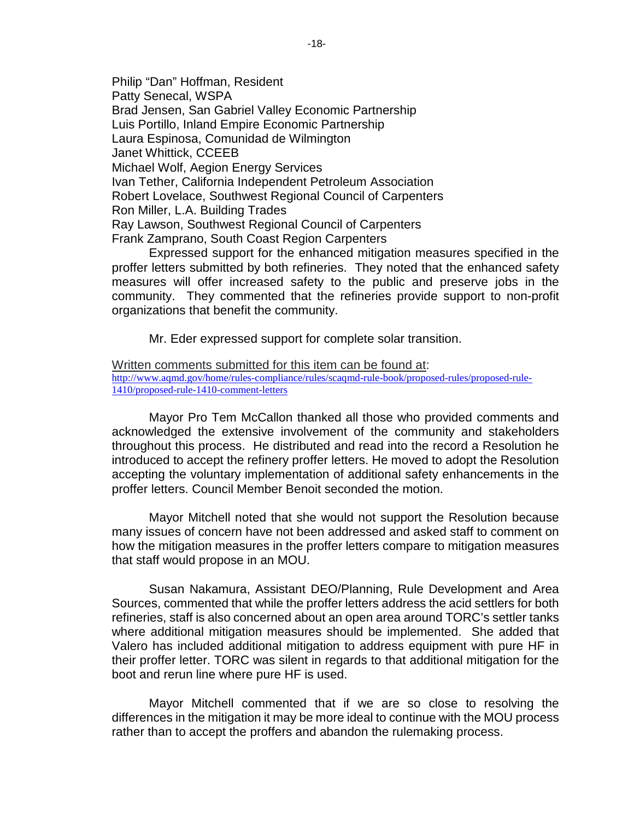Philip "Dan" Hoffman, Resident Patty Senecal, WSPA Brad Jensen, San Gabriel Valley Economic Partnership Luis Portillo, Inland Empire Economic Partnership Laura Espinosa, Comunidad de Wilmington Janet Whittick, CCEEB Michael Wolf, Aegion Energy Services Ivan Tether, California Independent Petroleum Association Robert Lovelace, Southwest Regional Council of Carpenters Ron Miller, L.A. Building Trades Ray Lawson, Southwest Regional Council of Carpenters Frank Zamprano, South Coast Region Carpenters

Expressed support for the enhanced mitigation measures specified in the proffer letters submitted by both refineries. They noted that the enhanced safety measures will offer increased safety to the public and preserve jobs in the community. They commented that the refineries provide support to non-profit organizations that benefit the community.

Mr. Eder expressed support for complete solar transition.

Written comments submitted for this item can be found at: [http://www.aqmd.gov/home/rules-compliance/rules/scaqmd-rule-book/proposed-rules/proposed-rule-](http://www.aqmd.gov/home/rules-compliance/rules/scaqmd-rule-book/proposed-rules/proposed-rule-1410/proposed-rule-1410-comment-letters)[1410/proposed-rule-1410-comment-letters](http://www.aqmd.gov/home/rules-compliance/rules/scaqmd-rule-book/proposed-rules/proposed-rule-1410/proposed-rule-1410-comment-letters)

Mayor Pro Tem McCallon thanked all those who provided comments and acknowledged the extensive involvement of the community and stakeholders throughout this process. He distributed and read into the record a Resolution he introduced to accept the refinery proffer letters. He moved to adopt the Resolution accepting the voluntary implementation of additional safety enhancements in the proffer letters. Council Member Benoit seconded the motion.

Mayor Mitchell noted that she would not support the Resolution because many issues of concern have not been addressed and asked staff to comment on how the mitigation measures in the proffer letters compare to mitigation measures that staff would propose in an MOU.

Susan Nakamura, Assistant DEO/Planning, Rule Development and Area Sources, commented that while the proffer letters address the acid settlers for both refineries, staff is also concerned about an open area around TORC's settler tanks where additional mitigation measures should be implemented. She added that Valero has included additional mitigation to address equipment with pure HF in their proffer letter. TORC was silent in regards to that additional mitigation for the boot and rerun line where pure HF is used.

Mayor Mitchell commented that if we are so close to resolving the differences in the mitigation it may be more ideal to continue with the MOU process rather than to accept the proffers and abandon the rulemaking process.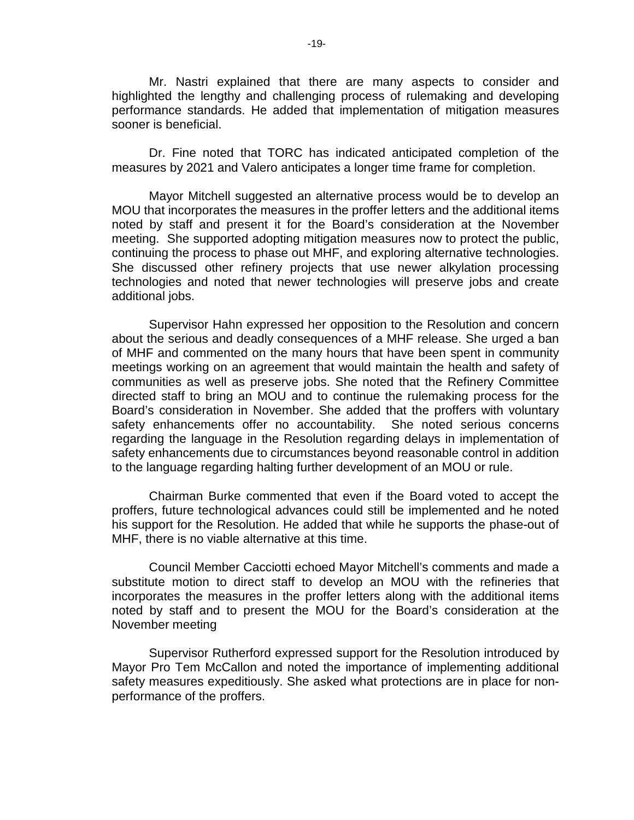Mr. Nastri explained that there are many aspects to consider and highlighted the lengthy and challenging process of rulemaking and developing performance standards. He added that implementation of mitigation measures sooner is beneficial.

Dr. Fine noted that TORC has indicated anticipated completion of the measures by 2021 and Valero anticipates a longer time frame for completion.

Mayor Mitchell suggested an alternative process would be to develop an MOU that incorporates the measures in the proffer letters and the additional items noted by staff and present it for the Board's consideration at the November meeting. She supported adopting mitigation measures now to protect the public, continuing the process to phase out MHF, and exploring alternative technologies. She discussed other refinery projects that use newer alkylation processing technologies and noted that newer technologies will preserve jobs and create additional jobs.

Supervisor Hahn expressed her opposition to the Resolution and concern about the serious and deadly consequences of a MHF release. She urged a ban of MHF and commented on the many hours that have been spent in community meetings working on an agreement that would maintain the health and safety of communities as well as preserve jobs. She noted that the Refinery Committee directed staff to bring an MOU and to continue the rulemaking process for the Board's consideration in November. She added that the proffers with voluntary safety enhancements offer no accountability. She noted serious concerns regarding the language in the Resolution regarding delays in implementation of safety enhancements due to circumstances beyond reasonable control in addition to the language regarding halting further development of an MOU or rule.

Chairman Burke commented that even if the Board voted to accept the proffers, future technological advances could still be implemented and he noted his support for the Resolution. He added that while he supports the phase-out of MHF, there is no viable alternative at this time.

Council Member Cacciotti echoed Mayor Mitchell's comments and made a substitute motion to direct staff to develop an MOU with the refineries that incorporates the measures in the proffer letters along with the additional items noted by staff and to present the MOU for the Board's consideration at the November meeting

Supervisor Rutherford expressed support for the Resolution introduced by Mayor Pro Tem McCallon and noted the importance of implementing additional safety measures expeditiously. She asked what protections are in place for nonperformance of the proffers.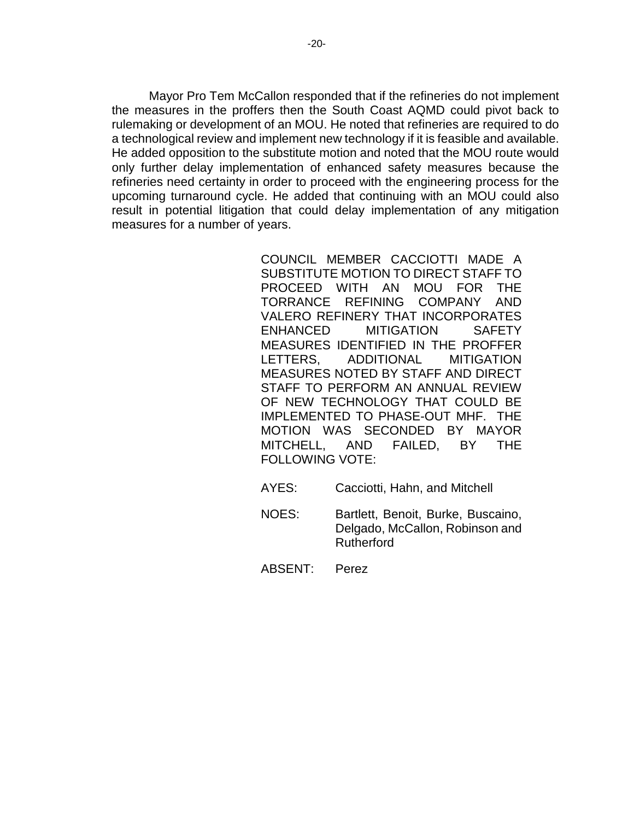Mayor Pro Tem McCallon responded that if the refineries do not implement the measures in the proffers then the South Coast AQMD could pivot back to rulemaking or development of an MOU. He noted that refineries are required to do a technological review and implement new technology if it is feasible and available. He added opposition to the substitute motion and noted that the MOU route would only further delay implementation of enhanced safety measures because the refineries need certainty in order to proceed with the engineering process for the upcoming turnaround cycle. He added that continuing with an MOU could also result in potential litigation that could delay implementation of any mitigation measures for a number of years.

> COUNCIL MEMBER CACCIOTTI MADE A SUBSTITUTE MOTION TO DIRECT STAFF TO PROCEED WITH AN MOU FOR THE TORRANCE REFINING COMPANY AND VALERO REFINERY THAT INCORPORATES ENHANCED MITIGATION SAFETY MEASURES IDENTIFIED IN THE PROFFER LETTERS, ADDITIONAL MITIGATION MEASURES NOTED BY STAFF AND DIRECT STAFF TO PERFORM AN ANNUAL REVIEW OF NEW TECHNOLOGY THAT COULD BE IMPLEMENTED TO PHASE-OUT MHF. THE MOTION WAS SECONDED BY MAYOR MITCHELL, AND FAILED, BY THE FOLLOWING VOTE:

- AYES: Cacciotti, Hahn, and Mitchell
- NOES: Bartlett, Benoit, Burke, Buscaino, Delgado, McCallon, Robinson and Rutherford

ABSENT: Perez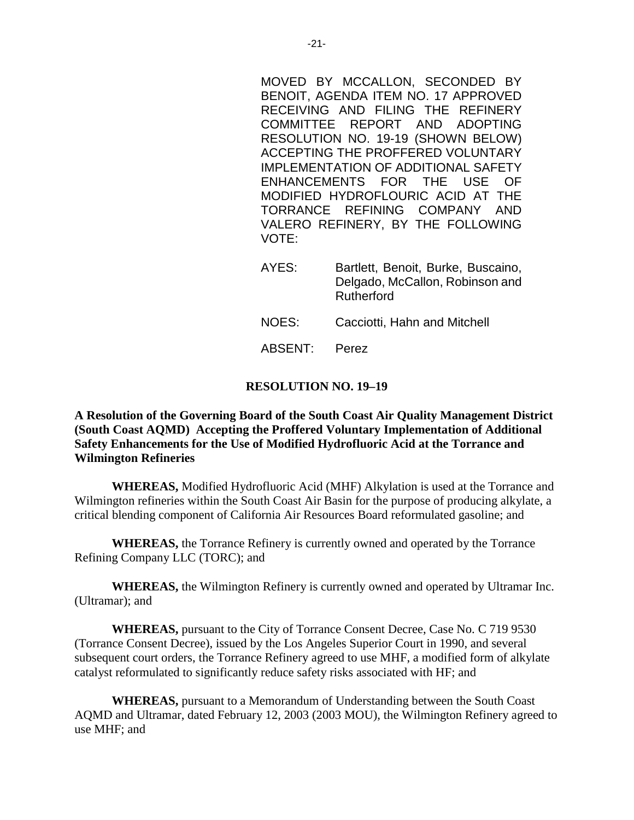MOVED BY MCCALLON, SECONDED BY BENOIT, AGENDA ITEM NO. 17 APPROVED RECEIVING AND FILING THE REFINERY COMMITTEE REPORT AND ADOPTING RESOLUTION NO. 19-19 (SHOWN BELOW) ACCEPTING THE PROFFERED VOLUNTARY IMPLEMENTATION OF ADDITIONAL SAFETY ENHANCEMENTS FOR THE USE OF MODIFIED HYDROFLOURIC ACID AT THE TORRANCE REFINING COMPANY AND VALERO REFINERY, BY THE FOLLOWING VOTE:

- AYES: Bartlett, Benoit, Burke, Buscaino, Delgado, McCallon, Robinson and Rutherford
- NOES: Cacciotti, Hahn and Mitchell
- ABSENT: Perez

## **RESOLUTION NO. 19–19**

**A Resolution of the Governing Board of the South Coast Air Quality Management District (South Coast AQMD) Accepting the Proffered Voluntary Implementation of Additional Safety Enhancements for the Use of Modified Hydrofluoric Acid at the Torrance and Wilmington Refineries**

**WHEREAS,** Modified Hydrofluoric Acid (MHF) Alkylation is used at the Torrance and Wilmington refineries within the South Coast Air Basin for the purpose of producing alkylate, a critical blending component of California Air Resources Board reformulated gasoline; and

**WHEREAS,** the Torrance Refinery is currently owned and operated by the Torrance Refining Company LLC (TORC); and

**WHEREAS,** the Wilmington Refinery is currently owned and operated by Ultramar Inc. (Ultramar); and

**WHEREAS,** pursuant to the City of Torrance Consent Decree, Case No. C 719 9530 (Torrance Consent Decree), issued by the Los Angeles Superior Court in 1990, and several subsequent court orders, the Torrance Refinery agreed to use MHF, a modified form of alkylate catalyst reformulated to significantly reduce safety risks associated with HF; and

**WHEREAS,** pursuant to a Memorandum of Understanding between the South Coast AQMD and Ultramar, dated February 12, 2003 (2003 MOU), the Wilmington Refinery agreed to use MHF; and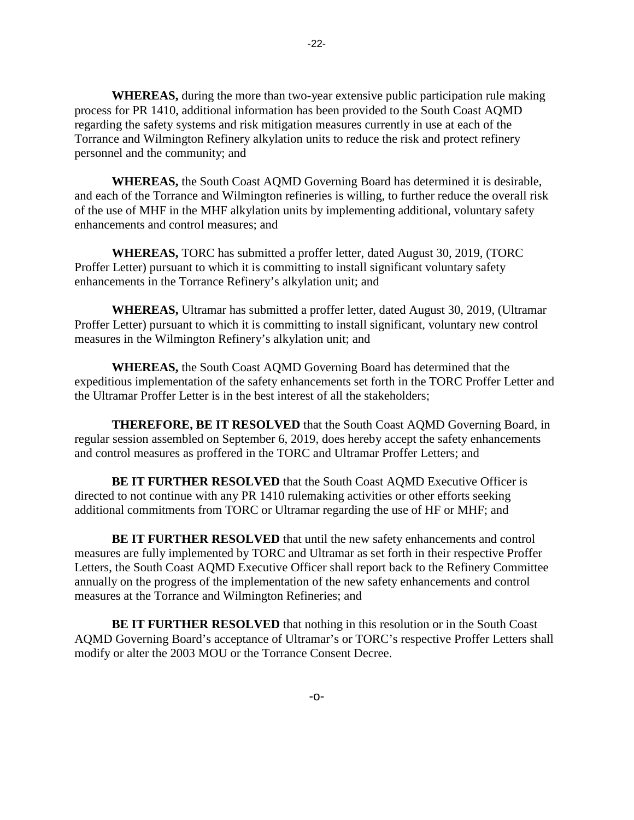**WHEREAS,** during the more than two-year extensive public participation rule making process for PR 1410, additional information has been provided to the South Coast AQMD regarding the safety systems and risk mitigation measures currently in use at each of the Torrance and Wilmington Refinery alkylation units to reduce the risk and protect refinery personnel and the community; and

**WHEREAS,** the South Coast AQMD Governing Board has determined it is desirable, and each of the Torrance and Wilmington refineries is willing, to further reduce the overall risk of the use of MHF in the MHF alkylation units by implementing additional, voluntary safety enhancements and control measures; and

**WHEREAS,** TORC has submitted a proffer letter, dated August 30, 2019, (TORC Proffer Letter) pursuant to which it is committing to install significant voluntary safety enhancements in the Torrance Refinery's alkylation unit; and

**WHEREAS,** Ultramar has submitted a proffer letter, dated August 30, 2019, (Ultramar Proffer Letter) pursuant to which it is committing to install significant, voluntary new control measures in the Wilmington Refinery's alkylation unit; and

**WHEREAS,** the South Coast AQMD Governing Board has determined that the expeditious implementation of the safety enhancements set forth in the TORC Proffer Letter and the Ultramar Proffer Letter is in the best interest of all the stakeholders;

**THEREFORE, BE IT RESOLVED** that the South Coast AQMD Governing Board, in regular session assembled on September 6, 2019, does hereby accept the safety enhancements and control measures as proffered in the TORC and Ultramar Proffer Letters; and

**BE IT FURTHER RESOLVED** that the South Coast AQMD Executive Officer is directed to not continue with any PR 1410 rulemaking activities or other efforts seeking additional commitments from TORC or Ultramar regarding the use of HF or MHF; and

**BE IT FURTHER RESOLVED** that until the new safety enhancements and control measures are fully implemented by TORC and Ultramar as set forth in their respective Proffer Letters, the South Coast AQMD Executive Officer shall report back to the Refinery Committee annually on the progress of the implementation of the new safety enhancements and control measures at the Torrance and Wilmington Refineries; and

**BE IT FURTHER RESOLVED** that nothing in this resolution or in the South Coast AQMD Governing Board's acceptance of Ultramar's or TORC's respective Proffer Letters shall modify or alter the 2003 MOU or the Torrance Consent Decree.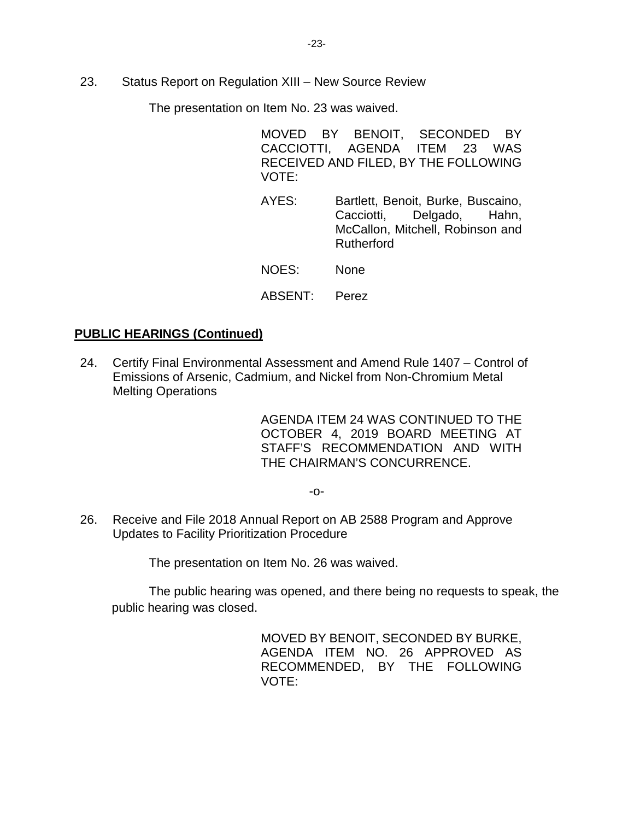23. Status Report on Regulation XIII – New Source Review

The presentation on Item No. 23 was waived.

MOVED BY BENOIT, SECONDED BY CACCIOTTI, AGENDA ITEM 23 WAS RECEIVED AND FILED, BY THE FOLLOWING VOTE:

AYES: Bartlett, Benoit, Burke, Buscaino, Cacciotti, Delgado, Hahn, McCallon, Mitchell, Robinson and Rutherford

NOES: None

## ABSENT: Perez

# **PUBLIC HEARINGS (Continued)**

24. Certify Final Environmental Assessment and Amend Rule 1407 – Control of Emissions of Arsenic, Cadmium, and Nickel from Non-Chromium Metal Melting Operations

> AGENDA ITEM 24 WAS CONTINUED TO THE OCTOBER 4, 2019 BOARD MEETING AT STAFF'S RECOMMENDATION AND WITH THE CHAIRMAN'S CONCURRENCE.

> > -o-

26. Receive and File 2018 Annual Report on AB 2588 Program and Approve Updates to Facility Prioritization Procedure

The presentation on Item No. 26 was waived.

The public hearing was opened, and there being no requests to speak, the public hearing was closed.

> MOVED BY BENOIT, SECONDED BY BURKE, AGENDA ITEM NO. 26 APPROVED AS RECOMMENDED, BY THE FOLLOWING VOTE: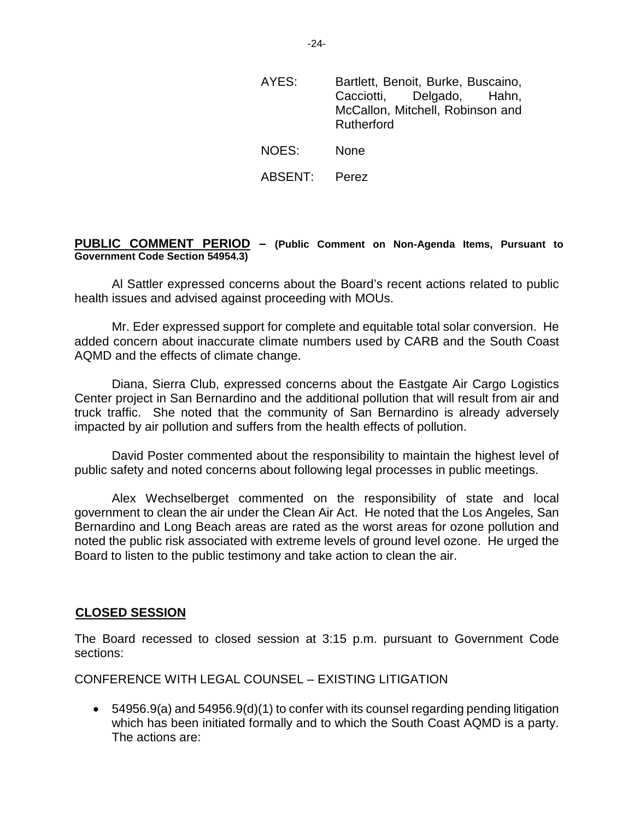- AYES: Bartlett, Benoit, Burke, Buscaino, Cacciotti, Delgado, Hahn, McCallon, Mitchell, Robinson and Rutherford NOES: None
- ABSENT: Perez

## **PUBLIC COMMENT PERIOD – (Public Comment on Non-Agenda Items, Pursuant to Government Code Section 54954.3)**

Al Sattler expressed concerns about the Board's recent actions related to public health issues and advised against proceeding with MOUs.

Mr. Eder expressed support for complete and equitable total solar conversion. He added concern about inaccurate climate numbers used by CARB and the South Coast AQMD and the effects of climate change.

Diana, Sierra Club, expressed concerns about the Eastgate Air Cargo Logistics Center project in San Bernardino and the additional pollution that will result from air and truck traffic. She noted that the community of San Bernardino is already adversely impacted by air pollution and suffers from the health effects of pollution.

David Poster commented about the responsibility to maintain the highest level of public safety and noted concerns about following legal processes in public meetings.

Alex Wechselberget commented on the responsibility of state and local government to clean the air under the Clean Air Act. He noted that the Los Angeles, San Bernardino and Long Beach areas are rated as the worst areas for ozone pollution and noted the public risk associated with extreme levels of ground level ozone. He urged the Board to listen to the public testimony and take action to clean the air.

## **CLOSED SESSION**

The Board recessed to closed session at 3:15 p.m. pursuant to Government Code sections:

CONFERENCE WITH LEGAL COUNSEL – EXISTING LITIGATION

 $\bullet$  54956.9(a) and 54956.9(d)(1) to confer with its counsel regarding pending litigation which has been initiated formally and to which the South Coast AQMD is a party. The actions are: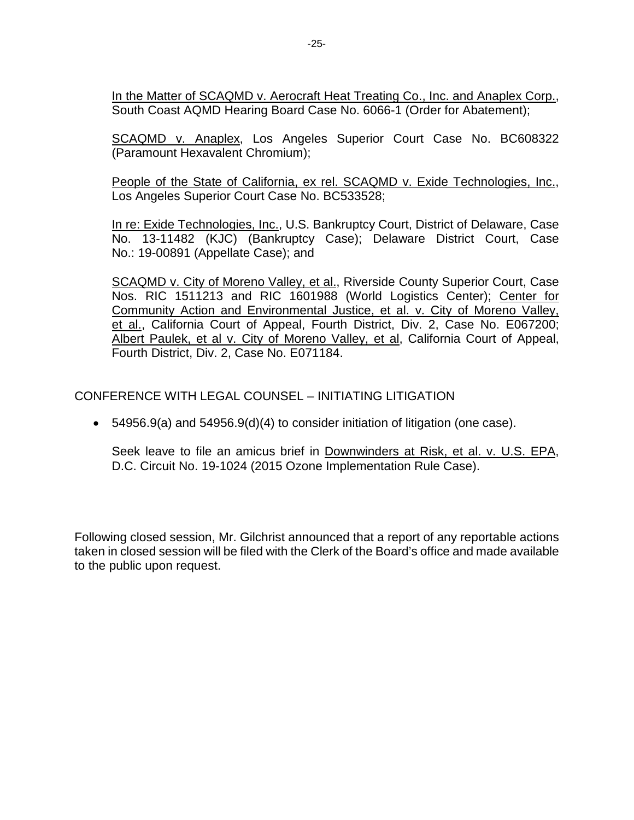In the Matter of SCAQMD v. Aerocraft Heat Treating Co., Inc. and Anaplex Corp., South Coast AQMD Hearing Board Case No. 6066-1 (Order for Abatement);

SCAQMD v. Anaplex, Los Angeles Superior Court Case No. BC608322 (Paramount Hexavalent Chromium);

People of the State of California, ex rel. SCAQMD v. Exide Technologies, Inc., Los Angeles Superior Court Case No. BC533528;

In re: Exide Technologies, Inc., U.S. Bankruptcy Court, District of Delaware, Case No. 13-11482 (KJC) (Bankruptcy Case); Delaware District Court, Case No.: 19-00891 (Appellate Case); and

SCAQMD v. City of Moreno Valley, et al., Riverside County Superior Court, Case Nos. RIC 1511213 and RIC 1601988 (World Logistics Center); Center for Community Action and Environmental Justice, et al. v. City of Moreno Valley, et al., California Court of Appeal, Fourth District, Div. 2, Case No. E067200; Albert Paulek, et al v. City of Moreno Valley, et al, California Court of Appeal, Fourth District, Div. 2, Case No. E071184.

CONFERENCE WITH LEGAL COUNSEL – INITIATING LITIGATION

• 54956.9(a) and 54956.9(d)(4) to consider initiation of litigation (one case).

Seek leave to file an amicus brief in Downwinders at Risk, et al. v. U.S. EPA, D.C. Circuit No. 19-1024 (2015 Ozone Implementation Rule Case).

Following closed session, Mr. Gilchrist announced that a report of any reportable actions taken in closed session will be filed with the Clerk of the Board's office and made available to the public upon request.